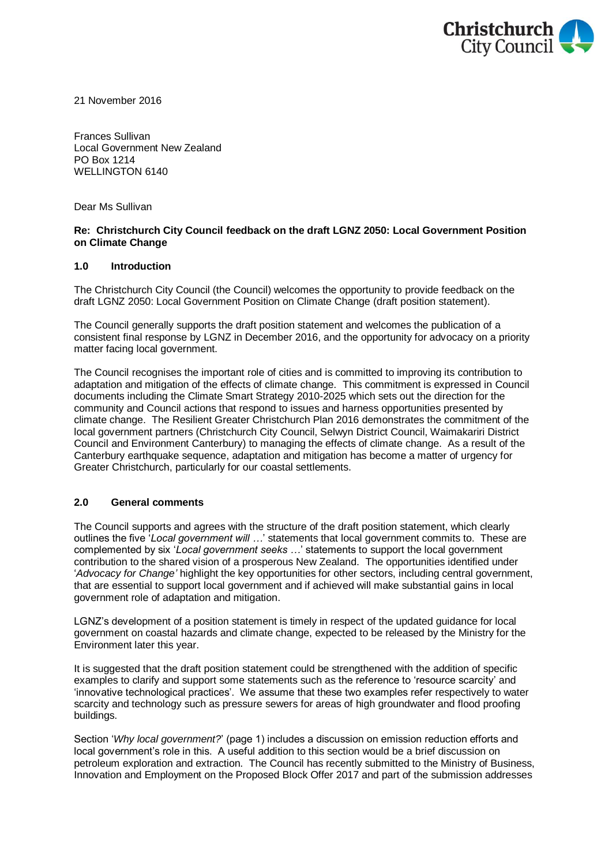

21 November 2016

Frances Sullivan Local Government New Zealand PO Box 1214 WELLINGTON 6140

Dear Ms Sullivan

### **Re: Christchurch City Council feedback on the draft LGNZ 2050: Local Government Position on Climate Change**

### **1.0 Introduction**

The Christchurch City Council (the Council) welcomes the opportunity to provide feedback on the draft LGNZ 2050: Local Government Position on Climate Change (draft position statement).

The Council generally supports the draft position statement and welcomes the publication of a consistent final response by LGNZ in December 2016, and the opportunity for advocacy on a priority matter facing local government.

The Council recognises the important role of cities and is committed to improving its contribution to adaptation and mitigation of the effects of climate change. This commitment is expressed in Council documents including the Climate Smart Strategy 2010-2025 which sets out the direction for the community and Council actions that respond to issues and harness opportunities presented by climate change. The Resilient Greater Christchurch Plan 2016 demonstrates the commitment of the local government partners (Christchurch City Council, Selwyn District Council, Waimakariri District Council and Environment Canterbury) to managing the effects of climate change. As a result of the Canterbury earthquake sequence, adaptation and mitigation has become a matter of urgency for Greater Christchurch, particularly for our coastal settlements.

## **2.0 General comments**

The Council supports and agrees with the structure of the draft position statement, which clearly outlines the five '*Local government will …*' statements that local government commits to. These are complemented by six '*Local government seeks …*' statements to support the local government contribution to the shared vision of a prosperous New Zealand. The opportunities identified under '*Advocacy for Change'* highlight the key opportunities for other sectors, including central government, that are essential to support local government and if achieved will make substantial gains in local government role of adaptation and mitigation.

LGNZ's development of a position statement is timely in respect of the updated guidance for local government on coastal hazards and climate change, expected to be released by the Ministry for the Environment later this year.

It is suggested that the draft position statement could be strengthened with the addition of specific examples to clarify and support some statements such as the reference to 'resource scarcity' and 'innovative technological practices'. We assume that these two examples refer respectively to water scarcity and technology such as pressure sewers for areas of high groundwater and flood proofing buildings.

Section '*Why local government?*' (page 1) includes a discussion on emission reduction efforts and local government's role in this. A useful addition to this section would be a brief discussion on petroleum exploration and extraction. The Council has recently submitted to the Ministry of Business, Innovation and Employment on the Proposed Block Offer 2017 and part of the submission addresses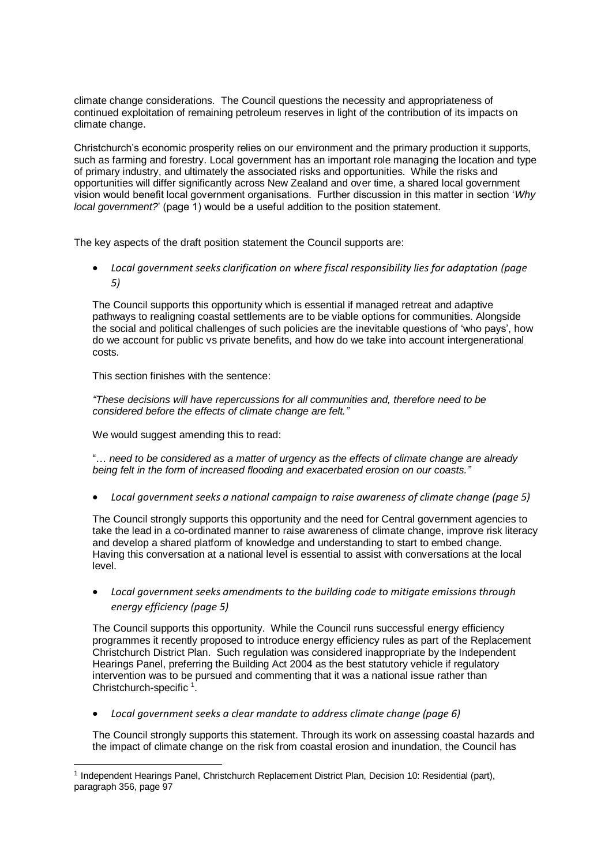climate change considerations. The Council questions the necessity and appropriateness of continued exploitation of remaining petroleum reserves in light of the contribution of its impacts on climate change.

Christchurch's economic prosperity relies on our environment and the primary production it supports, such as farming and forestry. Local government has an important role managing the location and type of primary industry, and ultimately the associated risks and opportunities. While the risks and opportunities will differ significantly across New Zealand and over time, a shared local government vision would benefit local government organisations. Further discussion in this matter in section '*Why local government?*' (page 1) would be a useful addition to the position statement.

The key aspects of the draft position statement the Council supports are:

 *Local government seeks clarification on where fiscal responsibility lies for adaptation (page 5)*

The Council supports this opportunity which is essential if managed retreat and adaptive pathways to realigning coastal settlements are to be viable options for communities. Alongside the social and political challenges of such policies are the inevitable questions of 'who pays', how do we account for public vs private benefits, and how do we take into account intergenerational costs.

This section finishes with the sentence:

*"These decisions will have repercussions for all communities and, therefore need to be considered before the effects of climate change are felt."*

We would suggest amending this to read:

l

"… *need to be considered as a matter of urgency as the effects of climate change are already being felt in the form of increased flooding and exacerbated erosion on our coasts."*

*Local government seeks a national campaign to raise awareness of climate change (page 5)*

The Council strongly supports this opportunity and the need for Central government agencies to take the lead in a co-ordinated manner to raise awareness of climate change, improve risk literacy and develop a shared platform of knowledge and understanding to start to embed change. Having this conversation at a national level is essential to assist with conversations at the local level.

 *Local government seeks amendments to the building code to mitigate emissions through energy efficiency (page 5)*

The Council supports this opportunity. While the Council runs successful energy efficiency programmes it recently proposed to introduce energy efficiency rules as part of the Replacement Christchurch District Plan. Such regulation was considered inappropriate by the Independent Hearings Panel, preferring the Building Act 2004 as the best statutory vehicle if regulatory intervention was to be pursued and commenting that it was a national issue rather than Christchurch-specific  $1$ .

*Local government seeks a clear mandate to address climate change (page 6)*

The Council strongly supports this statement. Through its work on assessing coastal hazards and the impact of climate change on the risk from coastal erosion and inundation, the Council has

<sup>&</sup>lt;sup>1</sup> Independent Hearings Panel, Christchurch Replacement District Plan, Decision 10: Residential (part), paragraph 356, page 97